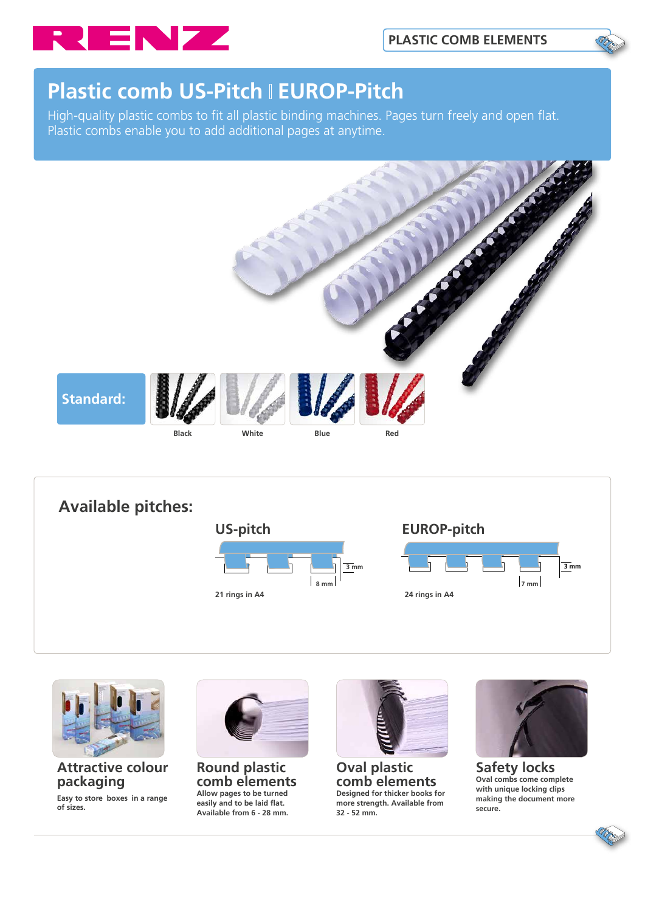

# **Plastic comb US-Pitch I EUROP-Pitch**

High-quality plastic combs to fit all plastic binding machines. Pages turn freely and open flat. Plastic combs enable you to add additional pages at anytime.







#### **Attractive colour packaging**

**Easy to store boxes in a range of sizes.**



**Round plastic comb elements Allow pages to be turned easily and to be laid flat. Available from 6 - 28 mm.** 



**Oval plastic comb elements Designed for thicker books for more strength. Available from 32 - 52 mm.**



**Safety locks Oval combs come complete with unique locking clips making the document more secure.**